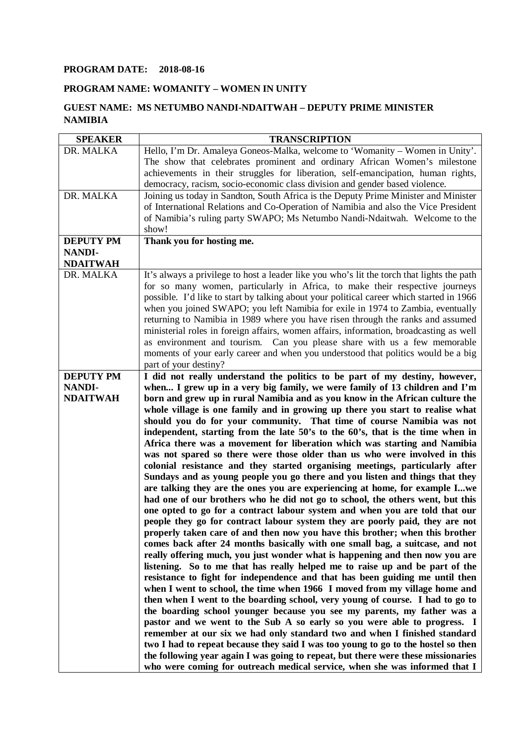## **PROGRAM DATE: 2018-08-16**

## **PROGRAM NAME: WOMANITY – WOMEN IN UNITY**

## **GUEST NAME: MS NETUMBO NANDI-NDAITWAH – DEPUTY PRIME MINISTER NAMIBIA**

| <b>SPEAKER</b>                    | <b>TRANSCRIPTION</b>                                                                                                                                          |
|-----------------------------------|---------------------------------------------------------------------------------------------------------------------------------------------------------------|
| DR. MALKA                         | Hello, I'm Dr. Amaleya Goneos-Malka, welcome to 'Womanity – Women in Unity'.                                                                                  |
|                                   | The show that celebrates prominent and ordinary African Women's milestone                                                                                     |
|                                   | achievements in their struggles for liberation, self-emancipation, human rights,                                                                              |
|                                   | democracy, racism, socio-economic class division and gender based violence.                                                                                   |
| DR. MALKA                         | Joining us today in Sandton, South Africa is the Deputy Prime Minister and Minister                                                                           |
|                                   | of International Relations and Co-Operation of Namibia and also the Vice President                                                                            |
|                                   | of Namibia's ruling party SWAPO; Ms Netumbo Nandi-Ndaitwah. Welcome to the                                                                                    |
|                                   | show!                                                                                                                                                         |
| <b>DEPUTY PM</b>                  | Thank you for hosting me.                                                                                                                                     |
| <b>NANDI-</b>                     |                                                                                                                                                               |
| <b>NDAITWAH</b>                   |                                                                                                                                                               |
| DR. MALKA                         | It's always a privilege to host a leader like you who's lit the torch that lights the path                                                                    |
|                                   | for so many women, particularly in Africa, to make their respective journeys                                                                                  |
|                                   | possible. I'd like to start by talking about your political career which started in 1966                                                                      |
|                                   | when you joined SWAPO; you left Namibia for exile in 1974 to Zambia, eventually                                                                               |
|                                   | returning to Namibia in 1989 where you have risen through the ranks and assumed                                                                               |
|                                   | ministerial roles in foreign affairs, women affairs, information, broadcasting as well                                                                        |
|                                   | as environment and tourism. Can you please share with us a few memorable                                                                                      |
|                                   | moments of your early career and when you understood that politics would be a big                                                                             |
|                                   | part of your destiny?                                                                                                                                         |
| <b>DEPUTY PM</b><br><b>NANDI-</b> | I did not really understand the politics to be part of my destiny, however,                                                                                   |
| <b>NDAITWAH</b>                   | when I grew up in a very big family, we were family of 13 children and I'm                                                                                    |
|                                   | born and grew up in rural Namibia and as you know in the African culture the<br>whole village is one family and in growing up there you start to realise what |
|                                   | should you do for your community. That time of course Namibia was not                                                                                         |
|                                   | independent, starting from the late 50's to the 60's, that is the time when in                                                                                |
|                                   | Africa there was a movement for liberation which was starting and Namibia                                                                                     |
|                                   | was not spared so there were those older than us who were involved in this                                                                                    |
|                                   | colonial resistance and they started organising meetings, particularly after                                                                                  |
|                                   | Sundays and as young people you go there and you listen and things that they                                                                                  |
|                                   | are talking they are the ones you are experiencing at home, for example Iwe                                                                                   |
|                                   | had one of our brothers who he did not go to school, the others went, but this                                                                                |
|                                   | one opted to go for a contract labour system and when you are told that our                                                                                   |
|                                   | people they go for contract labour system they are poorly paid, they are not                                                                                  |
|                                   | properly taken care of and then now you have this brother; when this brother                                                                                  |
|                                   | comes back after 24 months basically with one small bag, a suitcase, and not                                                                                  |
|                                   | really offering much, you just wonder what is happening and then now you are                                                                                  |
|                                   | listening. So to me that has really helped me to raise up and be part of the                                                                                  |
|                                   | resistance to fight for independence and that has been guiding me until then                                                                                  |
|                                   | when I went to school, the time when 1966 I moved from my village home and                                                                                    |
|                                   | then when I went to the boarding school, very young of course. I had to go to                                                                                 |
|                                   | the boarding school younger because you see my parents, my father was a                                                                                       |
|                                   | pastor and we went to the Sub A so early so you were able to progress. I                                                                                      |
|                                   | remember at our six we had only standard two and when I finished standard                                                                                     |
|                                   | two I had to repeat because they said I was too young to go to the hostel so then                                                                             |
|                                   | the following year again I was going to repeat, but there were these missionaries                                                                             |
|                                   | who were coming for outreach medical service, when she was informed that I                                                                                    |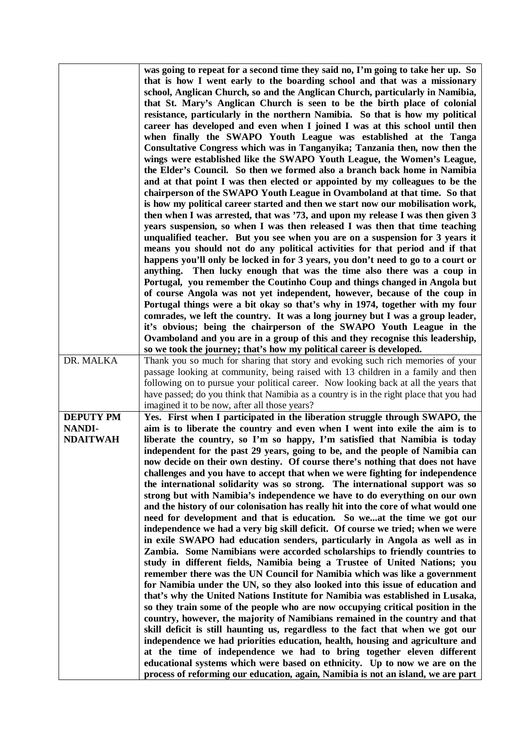|                                  | was going to repeat for a second time they said no, I'm going to take her up. So<br>that is how I went early to the boarding school and that was a missionary<br>school, Anglican Church, so and the Anglican Church, particularly in Namibia,<br>that St. Mary's Anglican Church is seen to be the birth place of colonial<br>resistance, particularly in the northern Namibia. So that is how my political<br>career has developed and even when I joined I was at this school until then<br>when finally the SWAPO Youth League was established at the Tanga<br>Consultative Congress which was in Tanganyika; Tanzania then, now then the<br>wings were established like the SWAPO Youth League, the Women's League,<br>the Elder's Council. So then we formed also a branch back home in Namibia<br>and at that point I was then elected or appointed by my colleagues to be the<br>chairperson of the SWAPO Youth League in Ovamboland at that time. So that<br>is how my political career started and then we start now our mobilisation work,<br>then when I was arrested, that was '73, and upon my release I was then given 3<br>years suspension, so when I was then released I was then that time teaching<br>unqualified teacher. But you see when you are on a suspension for 3 years it<br>means you should not do any political activities for that period and if that<br>happens you'll only be locked in for 3 years, you don't need to go to a court or<br>Then lucky enough that was the time also there was a coup in<br>anything.<br>Portugal, you remember the Coutinho Coup and things changed in Angola but<br>of course Angola was not yet independent, however, because of the coup in<br>Portugal things were a bit okay so that's why in 1974, together with my four<br>comrades, we left the country. It was a long journey but I was a group leader,<br>it's obvious; being the chairperson of the SWAPO Youth League in the |
|----------------------------------|-------------------------------------------------------------------------------------------------------------------------------------------------------------------------------------------------------------------------------------------------------------------------------------------------------------------------------------------------------------------------------------------------------------------------------------------------------------------------------------------------------------------------------------------------------------------------------------------------------------------------------------------------------------------------------------------------------------------------------------------------------------------------------------------------------------------------------------------------------------------------------------------------------------------------------------------------------------------------------------------------------------------------------------------------------------------------------------------------------------------------------------------------------------------------------------------------------------------------------------------------------------------------------------------------------------------------------------------------------------------------------------------------------------------------------------------------------------------------------------------------------------------------------------------------------------------------------------------------------------------------------------------------------------------------------------------------------------------------------------------------------------------------------------------------------------------------------------------------------------------------------------------------------------------------------------------------------------|
|                                  | Ovamboland and you are in a group of this and they recognise this leadership,<br>so we took the journey; that's how my political career is developed.                                                                                                                                                                                                                                                                                                                                                                                                                                                                                                                                                                                                                                                                                                                                                                                                                                                                                                                                                                                                                                                                                                                                                                                                                                                                                                                                                                                                                                                                                                                                                                                                                                                                                                                                                                                                       |
| DR. MALKA                        | Thank you so much for sharing that story and evoking such rich memories of your<br>passage looking at community, being raised with 13 children in a family and then<br>following on to pursue your political career. Now looking back at all the years that<br>have passed; do you think that Namibia as a country is in the right place that you had<br>imagined it to be now, after all those years?                                                                                                                                                                                                                                                                                                                                                                                                                                                                                                                                                                                                                                                                                                                                                                                                                                                                                                                                                                                                                                                                                                                                                                                                                                                                                                                                                                                                                                                                                                                                                      |
| <b>DEPUTY PM</b>                 | Yes. First when I participated in the liberation struggle through SWAPO, the                                                                                                                                                                                                                                                                                                                                                                                                                                                                                                                                                                                                                                                                                                                                                                                                                                                                                                                                                                                                                                                                                                                                                                                                                                                                                                                                                                                                                                                                                                                                                                                                                                                                                                                                                                                                                                                                                |
| <b>NANDI-</b><br><b>NDAITWAH</b> | aim is to liberate the country and even when I went into exile the aim is to<br>liberate the country, so I'm so happy, I'm satisfied that Namibia is today<br>independent for the past 29 years, going to be, and the people of Namibia can<br>now decide on their own destiny. Of course there's nothing that does not have<br>challenges and you have to accept that when we were fighting for independence<br>the international solidarity was so strong. The international support was so<br>strong but with Namibia's independence we have to do everything on our own<br>and the history of our colonisation has really hit into the core of what would one<br>need for development and that is education. So we use the time we got our<br>independence we had a very big skill deficit. Of course we tried; when we were<br>in exile SWAPO had education senders, particularly in Angola as well as in<br>Zambia. Some Namibians were accorded scholarships to friendly countries to<br>study in different fields, Namibia being a Trustee of United Nations; you<br>remember there was the UN Council for Namibia which was like a government<br>for Namibia under the UN, so they also looked into this issue of education and<br>that's why the United Nations Institute for Namibia was established in Lusaka,<br>so they train some of the people who are now occupying critical position in the<br>country, however, the majority of Namibians remained in the country and that<br>skill deficit is still haunting us, regardless to the fact that when we got our<br>independence we had priorities education, health, housing and agriculture and<br>at the time of independence we had to bring together eleven different<br>educational systems which were based on ethnicity. Up to now we are on the<br>process of reforming our education, again, Namibia is not an island, we are part                                                |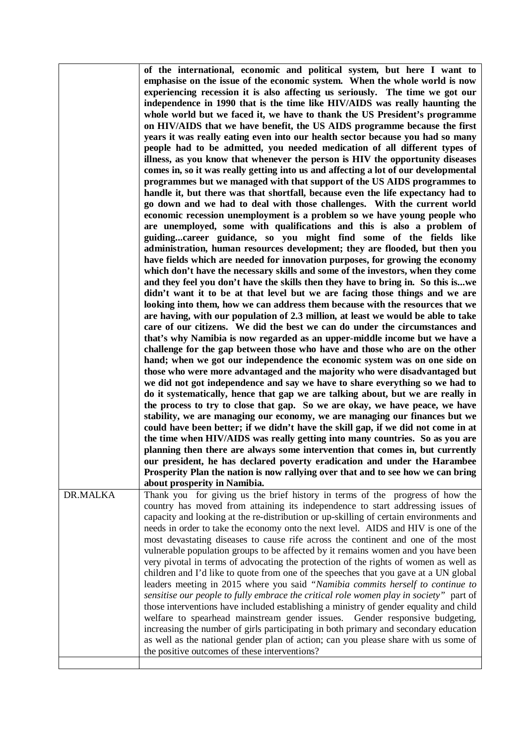|          | of the international, economic and political system, but here I want to<br>emphasise on the issue of the economic system. When the whole world is now<br>experiencing recession it is also affecting us seriously. The time we got our<br>independence in 1990 that is the time like HIV/AIDS was really haunting the<br>whole world but we faced it, we have to thank the US President's programme<br>on HIV/AIDS that we have benefit, the US AIDS programme because the first<br>years it was really eating even into our health sector because you had so many<br>people had to be admitted, you needed medication of all different types of<br>illness, as you know that whenever the person is HIV the opportunity diseases<br>comes in, so it was really getting into us and affecting a lot of our developmental<br>programmes but we managed with that support of the US AIDS programmes to<br>handle it, but there was that shortfall, because even the life expectancy had to<br>go down and we had to deal with those challenges. With the current world<br>economic recession unemployment is a problem so we have young people who<br>are unemployed, some with qualifications and this is also a problem of<br>guidingcareer guidance, so you might find some of the fields like<br>administration, human resources development; they are flooded, but then you<br>have fields which are needed for innovation purposes, for growing the economy<br>which don't have the necessary skills and some of the investors, when they come<br>and they feel you don't have the skills then they have to bring in. So this iswe<br>didn't want it to be at that level but we are facing those things and we are<br>looking into them, how we can address them because with the resources that we<br>are having, with our population of 2.3 million, at least we would be able to take<br>care of our citizens. We did the best we can do under the circumstances and<br>that's why Namibia is now regarded as an upper-middle income but we have a<br>challenge for the gap between those who have and those who are on the other<br>hand; when we got our independence the economic system was on one side on<br>those who were more advantaged and the majority who were disadvantaged but<br>we did not got independence and say we have to share everything so we had to<br>do it systematically, hence that gap we are talking about, but we are really in<br>the process to try to close that gap. So we are okay, we have peace, we have<br>stability, we are managing our economy, we are managing our finances but we<br>could have been better; if we didn't have the skill gap, if we did not come in at<br>the time when HIV/AIDS was really getting into many countries. So as you are<br>planning then there are always some intervention that comes in, but currently<br>our president, he has declared poverty eradication and under the Harambee<br>Prosperity Plan the nation is now rallying over that and to see how we can bring<br>about prosperity in Namibia. |
|----------|----------------------------------------------------------------------------------------------------------------------------------------------------------------------------------------------------------------------------------------------------------------------------------------------------------------------------------------------------------------------------------------------------------------------------------------------------------------------------------------------------------------------------------------------------------------------------------------------------------------------------------------------------------------------------------------------------------------------------------------------------------------------------------------------------------------------------------------------------------------------------------------------------------------------------------------------------------------------------------------------------------------------------------------------------------------------------------------------------------------------------------------------------------------------------------------------------------------------------------------------------------------------------------------------------------------------------------------------------------------------------------------------------------------------------------------------------------------------------------------------------------------------------------------------------------------------------------------------------------------------------------------------------------------------------------------------------------------------------------------------------------------------------------------------------------------------------------------------------------------------------------------------------------------------------------------------------------------------------------------------------------------------------------------------------------------------------------------------------------------------------------------------------------------------------------------------------------------------------------------------------------------------------------------------------------------------------------------------------------------------------------------------------------------------------------------------------------------------------------------------------------------------------------------------------------------------------------------------------------------------------------------------------------------------------------------------------------------------------------------------------------------------------------------------------------------------------------------------------------------------------------------------------------------------------------------------------------------------------------------------------------------------------------------------------------------------------------------------|
| DR.MALKA | Thank you for giving us the brief history in terms of the progress of how the<br>country has moved from attaining its independence to start addressing issues of<br>capacity and looking at the re-distribution or up-skilling of certain environments and<br>needs in order to take the economy onto the next level. AIDS and HIV is one of the<br>most devastating diseases to cause rife across the continent and one of the most<br>vulnerable population groups to be affected by it remains women and you have been<br>very pivotal in terms of advocating the protection of the rights of women as well as<br>children and I'd like to quote from one of the speeches that you gave at a UN global<br>leaders meeting in 2015 where you said "Namibia commits herself to continue to<br>sensitise our people to fully embrace the critical role women play in society" part of<br>those interventions have included establishing a ministry of gender equality and child<br>welfare to spearhead mainstream gender issues.<br>Gender responsive budgeting,<br>increasing the number of girls participating in both primary and secondary education<br>as well as the national gender plan of action; can you please share with us some of<br>the positive outcomes of these interventions?                                                                                                                                                                                                                                                                                                                                                                                                                                                                                                                                                                                                                                                                                                                                                                                                                                                                                                                                                                                                                                                                                                                                                                                                                                                                                                                                                                                                                                                                                                                                                                                                                                                                                                                                                                                            |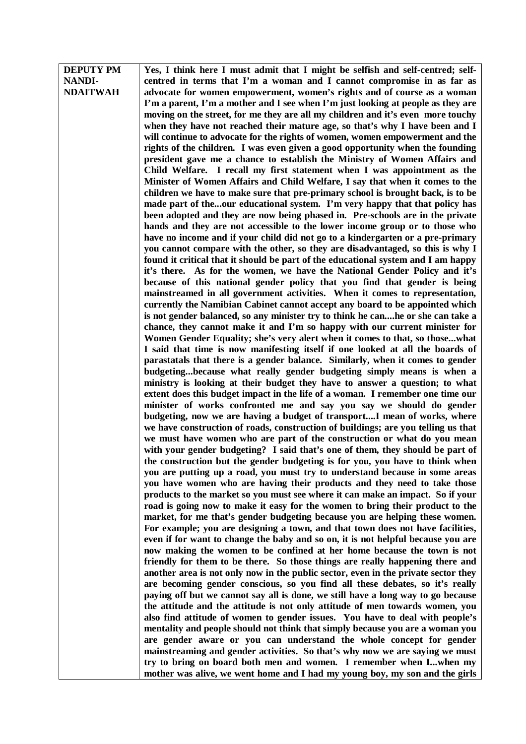| <b>DEPUTY PM</b> | Yes, I think here I must admit that I might be selfish and self-centred; self-                                                                                |
|------------------|---------------------------------------------------------------------------------------------------------------------------------------------------------------|
| <b>NANDI-</b>    | centred in terms that I'm a woman and I cannot compromise in as far as                                                                                        |
| <b>NDAITWAH</b>  | advocate for women empowerment, women's rights and of course as a woman                                                                                       |
|                  | I'm a parent, I'm a mother and I see when I'm just looking at people as they are                                                                              |
|                  | moving on the street, for me they are all my children and it's even more touchy                                                                               |
|                  | when they have not reached their mature age, so that's why I have been and I                                                                                  |
|                  | will continue to advocate for the rights of women, women empowerment and the                                                                                  |
|                  | rights of the children. I was even given a good opportunity when the founding                                                                                 |
|                  | president gave me a chance to establish the Ministry of Women Affairs and                                                                                     |
|                  | Child Welfare. I recall my first statement when I was appointment as the                                                                                      |
|                  | Minister of Women Affairs and Child Welfare, I say that when it comes to the                                                                                  |
|                  | children we have to make sure that pre-primary school is brought back, is to be                                                                               |
|                  | made part of theour educational system. I'm very happy that that policy has                                                                                   |
|                  | been adopted and they are now being phased in. Pre-schools are in the private                                                                                 |
|                  | hands and they are not accessible to the lower income group or to those who                                                                                   |
|                  | have no income and if your child did not go to a kindergarten or a pre-primary                                                                                |
|                  | you cannot compare with the other, so they are disadvantaged, so this is why I                                                                                |
|                  | found it critical that it should be part of the educational system and I am happy                                                                             |
|                  | it's there. As for the women, we have the National Gender Policy and it's                                                                                     |
|                  | because of this national gender policy that you find that gender is being                                                                                     |
|                  | mainstreamed in all government activities. When it comes to representation,                                                                                   |
|                  | currently the Namibian Cabinet cannot accept any board to be appointed which                                                                                  |
|                  | is not gender balanced, so any minister try to think he canhe or she can take a                                                                               |
|                  | chance, they cannot make it and I'm so happy with our current minister for                                                                                    |
|                  | Women Gender Equality; she's very alert when it comes to that, so thosewhat                                                                                   |
|                  | I said that time is now manifesting itself if one looked at all the boards of                                                                                 |
|                  | parastatals that there is a gender balance. Similarly, when it comes to gender                                                                                |
|                  | budgetingbecause what really gender budgeting simply means is when a                                                                                          |
|                  |                                                                                                                                                               |
|                  | ministry is looking at their budget they have to answer a question; to what<br>extent does this budget impact in the life of a woman. I remember one time our |
|                  |                                                                                                                                                               |
|                  | minister of works confronted me and say you say we should do gender                                                                                           |
|                  | budgeting, now we are having a budget of transportI mean of works, where<br>we have construction of roads, construction of buildings; are you telling us that |
|                  | we must have women who are part of the construction or what do you mean                                                                                       |
|                  | with your gender budgeting? I said that's one of them, they should be part of                                                                                 |
|                  |                                                                                                                                                               |
|                  | the construction but the gender budgeting is for you, you have to think when                                                                                  |
|                  | you are putting up a road, you must try to understand because in some areas                                                                                   |
|                  | you have women who are having their products and they need to take those                                                                                      |
|                  | products to the market so you must see where it can make an impact. So if your                                                                                |
|                  | road is going now to make it easy for the women to bring their product to the                                                                                 |
|                  | market, for me that's gender budgeting because you are helping these women.                                                                                   |
|                  | For example; you are designing a town, and that town does not have facilities,                                                                                |
|                  | even if for want to change the baby and so on, it is not helpful because you are                                                                              |
|                  | now making the women to be confined at her home because the town is not                                                                                       |
|                  | friendly for them to be there. So those things are really happening there and                                                                                 |
|                  | another area is not only now in the public sector, even in the private sector they                                                                            |
|                  | are becoming gender conscious, so you find all these debates, so it's really                                                                                  |
|                  | paying off but we cannot say all is done, we still have a long way to go because                                                                              |
|                  | the attitude and the attitude is not only attitude of men towards women, you                                                                                  |
|                  | also find attitude of women to gender issues. You have to deal with people's                                                                                  |
|                  | mentality and people should not think that simply because you are a woman you                                                                                 |
|                  | are gender aware or you can understand the whole concept for gender                                                                                           |
|                  | mainstreaming and gender activities. So that's why now we are saying we must                                                                                  |
|                  | try to bring on board both men and women. I remember when Iwhen my                                                                                            |
|                  | mother was alive, we went home and I had my young boy, my son and the girls                                                                                   |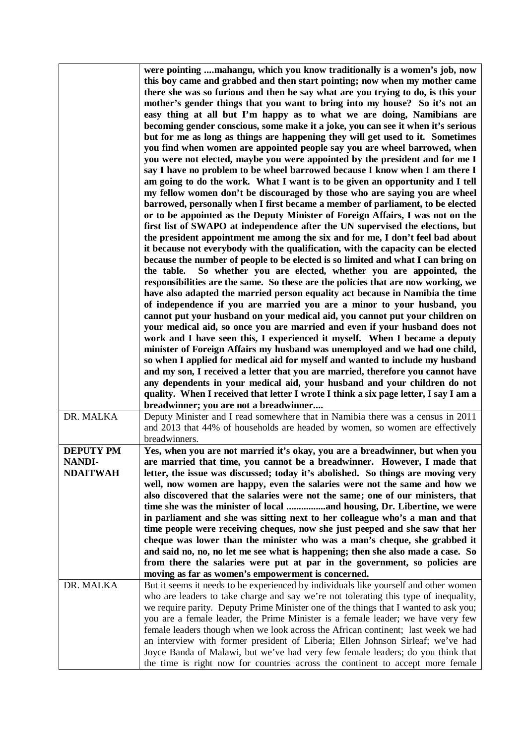|                                  | were pointing mahangu, which you know traditionally is a women's job, now<br>this boy came and grabbed and then start pointing; now when my mother came<br>there she was so furious and then he say what are you trying to do, is this your<br>mother's gender things that you want to bring into my house? So it's not an<br>easy thing at all but I'm happy as to what we are doing, Namibians are<br>becoming gender conscious, some make it a joke, you can see it when it's serious<br>but for me as long as things are happening they will get used to it. Sometimes<br>you find when women are appointed people say you are wheel barrowed, when<br>you were not elected, maybe you were appointed by the president and for me I<br>say I have no problem to be wheel barrowed because I know when I am there I<br>am going to do the work. What I want is to be given an opportunity and I tell<br>my fellow women don't be discouraged by those who are saying you are wheel<br>barrowed, personally when I first became a member of parliament, to be elected<br>or to be appointed as the Deputy Minister of Foreign Affairs, I was not on the<br>first list of SWAPO at independence after the UN supervised the elections, but<br>the president appointment me among the six and for me, I don't feel bad about<br>it because not everybody with the qualification, with the capacity can be elected<br>because the number of people to be elected is so limited and what I can bring on<br>So whether you are elected, whether you are appointed, the<br>the table.<br>responsibilities are the same. So these are the policies that are now working, we<br>have also adapted the married person equality act because in Namibia the time<br>of independence if you are married you are a minor to your husband, you<br>cannot put your husband on your medical aid, you cannot put your children on<br>your medical aid, so once you are married and even if your husband does not<br>work and I have seen this, I experienced it myself. When I became a deputy<br>minister of Foreign Affairs my husband was unemployed and we had one child,<br>so when I applied for medical aid for myself and wanted to include my husband<br>and my son, I received a letter that you are married, therefore you cannot have<br>any dependents in your medical aid, your husband and your children do not<br>quality. When I received that letter I wrote I think a six page letter, I say I am a<br>breadwinner; you are not a breadwinner |
|----------------------------------|---------------------------------------------------------------------------------------------------------------------------------------------------------------------------------------------------------------------------------------------------------------------------------------------------------------------------------------------------------------------------------------------------------------------------------------------------------------------------------------------------------------------------------------------------------------------------------------------------------------------------------------------------------------------------------------------------------------------------------------------------------------------------------------------------------------------------------------------------------------------------------------------------------------------------------------------------------------------------------------------------------------------------------------------------------------------------------------------------------------------------------------------------------------------------------------------------------------------------------------------------------------------------------------------------------------------------------------------------------------------------------------------------------------------------------------------------------------------------------------------------------------------------------------------------------------------------------------------------------------------------------------------------------------------------------------------------------------------------------------------------------------------------------------------------------------------------------------------------------------------------------------------------------------------------------------------------------------------------------------------------------------------------------------------------------------------------------------------------------------------------------------------------------------------------------------------------------------------------------------------------------------------------------------------------------------------------------------------------------------------------------------------------------------------------------------------------------------------------------------------------------------------------------------------------|
| DR. MALKA                        | Deputy Minister and I read somewhere that in Namibia there was a census in 2011                                                                                                                                                                                                                                                                                                                                                                                                                                                                                                                                                                                                                                                                                                                                                                                                                                                                                                                                                                                                                                                                                                                                                                                                                                                                                                                                                                                                                                                                                                                                                                                                                                                                                                                                                                                                                                                                                                                                                                                                                                                                                                                                                                                                                                                                                                                                                                                                                                                                   |
|                                  | and 2013 that 44% of households are headed by women, so women are effectively<br>breadwinners.                                                                                                                                                                                                                                                                                                                                                                                                                                                                                                                                                                                                                                                                                                                                                                                                                                                                                                                                                                                                                                                                                                                                                                                                                                                                                                                                                                                                                                                                                                                                                                                                                                                                                                                                                                                                                                                                                                                                                                                                                                                                                                                                                                                                                                                                                                                                                                                                                                                    |
| <b>DEPUTY PM</b>                 | Yes, when you are not married it's okay, you are a breadwinner, but when you                                                                                                                                                                                                                                                                                                                                                                                                                                                                                                                                                                                                                                                                                                                                                                                                                                                                                                                                                                                                                                                                                                                                                                                                                                                                                                                                                                                                                                                                                                                                                                                                                                                                                                                                                                                                                                                                                                                                                                                                                                                                                                                                                                                                                                                                                                                                                                                                                                                                      |
| <b>NANDI-</b><br><b>NDAITWAH</b> | are married that time, you cannot be a breadwinner. However, I made that<br>letter, the issue was discussed; today it's abolished. So things are moving very<br>well, now women are happy, even the salaries were not the same and how we<br>also discovered that the salaries were not the same; one of our ministers, that<br>in parliament and she was sitting next to her colleague who's a man and that<br>time people were receiving cheques, now she just peeped and she saw that her<br>cheque was lower than the minister who was a man's cheque, she grabbed it<br>and said no, no, no let me see what is happening; then she also made a case. So<br>from there the salaries were put at par in the government, so policies are<br>moving as far as women's empowerment is concerned.                                                                                                                                                                                                                                                                                                                                                                                                                                                                                                                                                                                                                                                                                                                                                                                                                                                                                                                                                                                                                                                                                                                                                                                                                                                                                                                                                                                                                                                                                                                                                                                                                                                                                                                                                  |
| DR. MALKA                        | But it seems it needs to be experienced by individuals like yourself and other women                                                                                                                                                                                                                                                                                                                                                                                                                                                                                                                                                                                                                                                                                                                                                                                                                                                                                                                                                                                                                                                                                                                                                                                                                                                                                                                                                                                                                                                                                                                                                                                                                                                                                                                                                                                                                                                                                                                                                                                                                                                                                                                                                                                                                                                                                                                                                                                                                                                              |
|                                  | who are leaders to take charge and say we're not tolerating this type of inequality,<br>we require parity. Deputy Prime Minister one of the things that I wanted to ask you;<br>you are a female leader, the Prime Minister is a female leader; we have very few<br>female leaders though when we look across the African continent; last week we had<br>an interview with former president of Liberia; Ellen Johnson Sirleaf; we've had<br>Joyce Banda of Malawi, but we've had very few female leaders; do you think that<br>the time is right now for countries across the continent to accept more female                                                                                                                                                                                                                                                                                                                                                                                                                                                                                                                                                                                                                                                                                                                                                                                                                                                                                                                                                                                                                                                                                                                                                                                                                                                                                                                                                                                                                                                                                                                                                                                                                                                                                                                                                                                                                                                                                                                                     |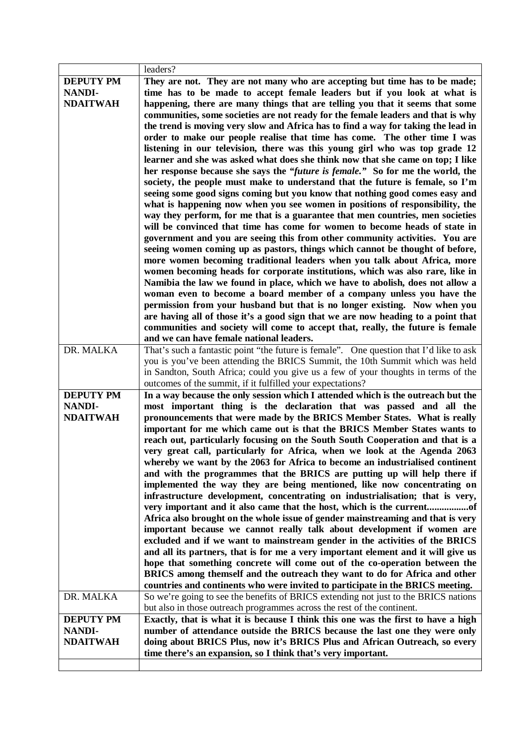|                                                      | leaders?                                                                                                                                                                                                                                                                                                                                                                                                                                                                                                                                                                                                                                                                                                                                                                                                                                                                                                                                                                                        |
|------------------------------------------------------|-------------------------------------------------------------------------------------------------------------------------------------------------------------------------------------------------------------------------------------------------------------------------------------------------------------------------------------------------------------------------------------------------------------------------------------------------------------------------------------------------------------------------------------------------------------------------------------------------------------------------------------------------------------------------------------------------------------------------------------------------------------------------------------------------------------------------------------------------------------------------------------------------------------------------------------------------------------------------------------------------|
| <b>DEPUTY PM</b><br><b>NANDI-</b><br><b>NDAITWAH</b> | They are not. They are not many who are accepting but time has to be made;<br>time has to be made to accept female leaders but if you look at what is<br>happening, there are many things that are telling you that it seems that some<br>communities, some societies are not ready for the female leaders and that is why<br>the trend is moving very slow and Africa has to find a way for taking the lead in<br>order to make our people realise that time has come. The other time I was<br>listening in our television, there was this young girl who was top grade 12<br>learner and she was asked what does she think now that she came on top; I like<br>her response because she says the "future is female." So for me the world, the<br>society, the people must make to understand that the future is female, so I'm<br>seeing some good signs coming but you know that nothing good comes easy and<br>what is happening now when you see women in positions of responsibility, the |
|                                                      | way they perform, for me that is a guarantee that men countries, men societies<br>will be convinced that time has come for women to become heads of state in                                                                                                                                                                                                                                                                                                                                                                                                                                                                                                                                                                                                                                                                                                                                                                                                                                    |
|                                                      | government and you are seeing this from other community activities. You are                                                                                                                                                                                                                                                                                                                                                                                                                                                                                                                                                                                                                                                                                                                                                                                                                                                                                                                     |
|                                                      | seeing women coming up as pastors, things which cannot be thought of before,                                                                                                                                                                                                                                                                                                                                                                                                                                                                                                                                                                                                                                                                                                                                                                                                                                                                                                                    |
|                                                      | more women becoming traditional leaders when you talk about Africa, more                                                                                                                                                                                                                                                                                                                                                                                                                                                                                                                                                                                                                                                                                                                                                                                                                                                                                                                        |
|                                                      | women becoming heads for corporate institutions, which was also rare, like in<br>Namibia the law we found in place, which we have to abolish, does not allow a                                                                                                                                                                                                                                                                                                                                                                                                                                                                                                                                                                                                                                                                                                                                                                                                                                  |
|                                                      | woman even to become a board member of a company unless you have the                                                                                                                                                                                                                                                                                                                                                                                                                                                                                                                                                                                                                                                                                                                                                                                                                                                                                                                            |
|                                                      | permission from your husband but that is no longer existing. Now when you                                                                                                                                                                                                                                                                                                                                                                                                                                                                                                                                                                                                                                                                                                                                                                                                                                                                                                                       |
|                                                      | are having all of those it's a good sign that we are now heading to a point that                                                                                                                                                                                                                                                                                                                                                                                                                                                                                                                                                                                                                                                                                                                                                                                                                                                                                                                |
|                                                      | communities and society will come to accept that, really, the future is female<br>and we can have female national leaders.                                                                                                                                                                                                                                                                                                                                                                                                                                                                                                                                                                                                                                                                                                                                                                                                                                                                      |
| DR. MALKA                                            | That's such a fantastic point "the future is female". One question that I'd like to ask                                                                                                                                                                                                                                                                                                                                                                                                                                                                                                                                                                                                                                                                                                                                                                                                                                                                                                         |
|                                                      | you is you've been attending the BRICS Summit, the 10th Summit which was held                                                                                                                                                                                                                                                                                                                                                                                                                                                                                                                                                                                                                                                                                                                                                                                                                                                                                                                   |
|                                                      | in Sandton, South Africa; could you give us a few of your thoughts in terms of the                                                                                                                                                                                                                                                                                                                                                                                                                                                                                                                                                                                                                                                                                                                                                                                                                                                                                                              |
|                                                      | outcomes of the summit, if it fulfilled your expectations?                                                                                                                                                                                                                                                                                                                                                                                                                                                                                                                                                                                                                                                                                                                                                                                                                                                                                                                                      |
| <b>DEPUTY PM</b><br><b>NANDI-</b>                    | In a way because the only session which I attended which is the outreach but the<br>most important thing is the declaration that was passed and all the                                                                                                                                                                                                                                                                                                                                                                                                                                                                                                                                                                                                                                                                                                                                                                                                                                         |
| <b>NDAITWAH</b>                                      | pronouncements that were made by the BRICS Member States. What is really                                                                                                                                                                                                                                                                                                                                                                                                                                                                                                                                                                                                                                                                                                                                                                                                                                                                                                                        |
|                                                      | important for me which came out is that the BRICS Member States wants to                                                                                                                                                                                                                                                                                                                                                                                                                                                                                                                                                                                                                                                                                                                                                                                                                                                                                                                        |
|                                                      | reach out, particularly focusing on the South South Cooperation and that is a                                                                                                                                                                                                                                                                                                                                                                                                                                                                                                                                                                                                                                                                                                                                                                                                                                                                                                                   |
|                                                      | very great call, particularly for Africa, when we look at the Agenda 2063                                                                                                                                                                                                                                                                                                                                                                                                                                                                                                                                                                                                                                                                                                                                                                                                                                                                                                                       |
|                                                      | whereby we want by the 2063 for Africa to become an industrialised continent<br>and with the programmes that the BRICS are putting up will help there if                                                                                                                                                                                                                                                                                                                                                                                                                                                                                                                                                                                                                                                                                                                                                                                                                                        |
|                                                      | implemented the way they are being mentioned, like now concentrating on                                                                                                                                                                                                                                                                                                                                                                                                                                                                                                                                                                                                                                                                                                                                                                                                                                                                                                                         |
|                                                      | infrastructure development, concentrating on industrialisation; that is very,                                                                                                                                                                                                                                                                                                                                                                                                                                                                                                                                                                                                                                                                                                                                                                                                                                                                                                                   |
|                                                      |                                                                                                                                                                                                                                                                                                                                                                                                                                                                                                                                                                                                                                                                                                                                                                                                                                                                                                                                                                                                 |
|                                                      | Africa also brought on the whole issue of gender mainstreaming and that is very<br>important because we cannot really talk about development if women are                                                                                                                                                                                                                                                                                                                                                                                                                                                                                                                                                                                                                                                                                                                                                                                                                                       |
|                                                      | excluded and if we want to mainstream gender in the activities of the BRICS                                                                                                                                                                                                                                                                                                                                                                                                                                                                                                                                                                                                                                                                                                                                                                                                                                                                                                                     |
|                                                      | and all its partners, that is for me a very important element and it will give us                                                                                                                                                                                                                                                                                                                                                                                                                                                                                                                                                                                                                                                                                                                                                                                                                                                                                                               |
|                                                      | hope that something concrete will come out of the co-operation between the                                                                                                                                                                                                                                                                                                                                                                                                                                                                                                                                                                                                                                                                                                                                                                                                                                                                                                                      |
|                                                      | BRICS among themself and the outreach they want to do for Africa and other<br>countries and continents who were invited to participate in the BRICS meeting.                                                                                                                                                                                                                                                                                                                                                                                                                                                                                                                                                                                                                                                                                                                                                                                                                                    |
| DR. MALKA                                            | So we're going to see the benefits of BRICS extending not just to the BRICS nations                                                                                                                                                                                                                                                                                                                                                                                                                                                                                                                                                                                                                                                                                                                                                                                                                                                                                                             |
|                                                      | but also in those outreach programmes across the rest of the continent.                                                                                                                                                                                                                                                                                                                                                                                                                                                                                                                                                                                                                                                                                                                                                                                                                                                                                                                         |
| <b>DEPUTY PM</b>                                     | Exactly, that is what it is because I think this one was the first to have a high                                                                                                                                                                                                                                                                                                                                                                                                                                                                                                                                                                                                                                                                                                                                                                                                                                                                                                               |
| <b>NANDI-</b>                                        | number of attendance outside the BRICS because the last one they were only                                                                                                                                                                                                                                                                                                                                                                                                                                                                                                                                                                                                                                                                                                                                                                                                                                                                                                                      |
| <b>NDAITWAH</b>                                      | doing about BRICS Plus, now it's BRICS Plus and African Outreach, so every<br>time there's an expansion, so I think that's very important.                                                                                                                                                                                                                                                                                                                                                                                                                                                                                                                                                                                                                                                                                                                                                                                                                                                      |
|                                                      |                                                                                                                                                                                                                                                                                                                                                                                                                                                                                                                                                                                                                                                                                                                                                                                                                                                                                                                                                                                                 |
|                                                      |                                                                                                                                                                                                                                                                                                                                                                                                                                                                                                                                                                                                                                                                                                                                                                                                                                                                                                                                                                                                 |